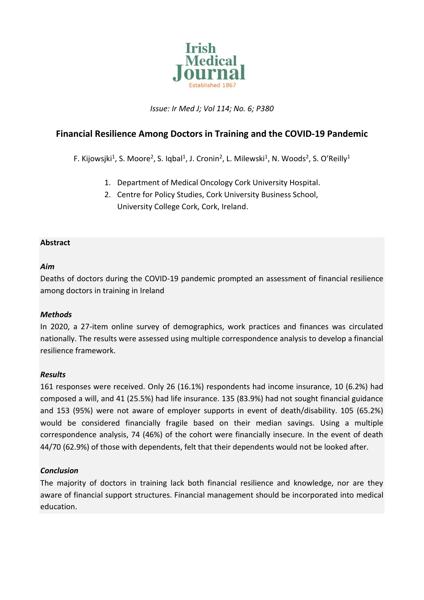

*Issue: Ir Med J; Vol 114; No. 6; P380*

# **Financial Resilience Among Doctors in Training and the COVID-19 Pandemic**

F. Kijowsjki<sup>1</sup>, S. Moore<sup>2</sup>, S. Iqbal<sup>1</sup>, J. Cronin<sup>2</sup>, L. Milewski<sup>1</sup>, N. Woods<sup>2</sup>, S. O'Reilly<sup>1</sup>

- 1. Department of Medical Oncology Cork University Hospital.
- 2. Centre for Policy Studies, Cork University Business School, University College Cork, Cork, Ireland.

### **Abstract**

### *Aim*

Deaths of doctors during the COVID-19 pandemic prompted an assessment of financial resilience among doctors in training in Ireland

### *Methods*

In 2020, a 27-item online survey of demographics, work practices and finances was circulated nationally. The results were assessed using multiple correspondence analysis to develop a financial resilience framework.

### *Results*

161 responses were received. Only 26 (16.1%) respondents had income insurance, 10 (6.2%) had composed a will, and 41 (25.5%) had life insurance. 135 (83.9%) had not sought financial guidance and 153 (95%) were not aware of employer supports in event of death/disability. 105 (65.2%) would be considered financially fragile based on their median savings. Using a multiple correspondence analysis, 74 (46%) of the cohort were financially insecure. In the event of death 44/70 (62.9%) of those with dependents, felt that their dependents would not be looked after.

### *Conclusion*

The majority of doctors in training lack both financial resilience and knowledge, nor are they aware of financial support structures. Financial management should be incorporated into medical education.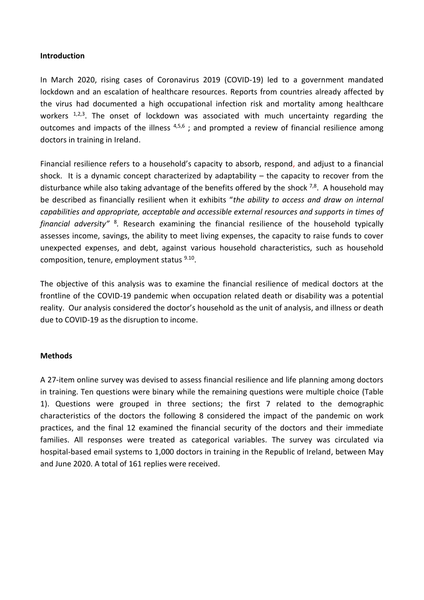#### **Introduction**

In March 2020, rising cases of Coronavirus 2019 (COVID-19) led to a government mandated lockdown and an escalation of healthcare resources. Reports from countries already affected by the virus had documented a high occupational infection risk and mortality among healthcare workers <sup>1,2,3</sup>. The onset of lockdown was associated with much uncertainty regarding the outcomes and impacts of the illness  $4,5,6$ ; and prompted a review of financial resilience among doctors in training in Ireland.

Financial resilience refers to a household's capacity to absorb, respond, and adjust to a financial shock. It is a dynamic concept characterized by adaptability – the capacity to recover from the disturbance while also taking advantage of the benefits offered by the shock  $^{7,8}$ . A household may be described as financially resilient when it exhibits "*the ability to access and draw on internal capabilities and appropriate, acceptable and accessible external resources and supports in times of*  financial adversity"<sup>8</sup>. Research examining the financial resilience of the household typically assesses income, savings, the ability to meet living expenses, the capacity to raise funds to cover unexpected expenses, and debt, against various household characteristics, such as household composition, tenure, employment status <sup>9.10</sup>.

The objective of this analysis was to examine the financial resilience of medical doctors at the frontline of the COVID-19 pandemic when occupation related death or disability was a potential reality. Our analysis considered the doctor's household as the unit of analysis, and illness or death due to COVID-19 as the disruption to income.

### **Methods**

A 27-item online survey was devised to assess financial resilience and life planning among doctors in training. Ten questions were binary while the remaining questions were multiple choice (Table 1). Questions were grouped in three sections; the first 7 related to the demographic characteristics of the doctors the following 8 considered the impact of the pandemic on work practices, and the final 12 examined the financial security of the doctors and their immediate families. All responses were treated as categorical variables. The survey was circulated via hospital-based email systems to 1,000 doctors in training in the Republic of Ireland, between May and June 2020. A total of 161 replies were received.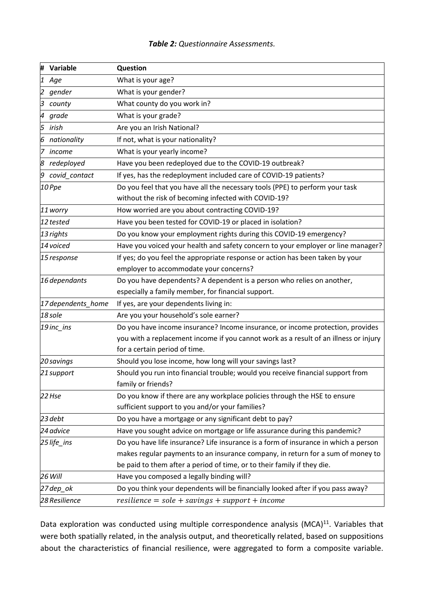### *Table 2: Questionnaire Assessments.*

| Ħ,<br>Variable     | Question                                                                             |  |  |  |  |
|--------------------|--------------------------------------------------------------------------------------|--|--|--|--|
| 1<br>Age           | What is your age?                                                                    |  |  |  |  |
| 2<br>gender        | What is your gender?                                                                 |  |  |  |  |
| З<br>county        | What county do you work in?                                                          |  |  |  |  |
| 4<br>grade         | What is your grade?                                                                  |  |  |  |  |
| 5<br>irish         | Are you an Irish National?                                                           |  |  |  |  |
| nationality<br>6   | If not, what is your nationality?                                                    |  |  |  |  |
| 17<br>income       | What is your yearly income?                                                          |  |  |  |  |
| 8<br>redeployed    | Have you been redeployed due to the COVID-19 outbreak?                               |  |  |  |  |
| covid_contact<br>9 | If yes, has the redeployment included care of COVID-19 patients?                     |  |  |  |  |
| 10 Ppe             | Do you feel that you have all the necessary tools (PPE) to perform your task         |  |  |  |  |
|                    | without the risk of becoming infected with COVID-19?                                 |  |  |  |  |
| 11 worry           | How worried are you about contracting COVID-19?                                      |  |  |  |  |
| 12 tested          | Have you been tested for COVID-19 or placed in isolation?                            |  |  |  |  |
| 13 rights          | Do you know your employment rights during this COVID-19 emergency?                   |  |  |  |  |
| 14 voiced          | Have you voiced your health and safety concern to your employer or line manager?     |  |  |  |  |
| 15 response        | If yes; do you feel the appropriate response or action has been taken by your        |  |  |  |  |
|                    | employer to accommodate your concerns?                                               |  |  |  |  |
| 16 dependants      | Do you have dependents? A dependent is a person who relies on another,               |  |  |  |  |
|                    | especially a family member, for financial support.                                   |  |  |  |  |
| 17 dependents_home | If yes, are your dependents living in:                                               |  |  |  |  |
| 18 sole            | Are you your household's sole earner?                                                |  |  |  |  |
| 19 inc_ins         | Do you have income insurance? Income insurance, or income protection, provides       |  |  |  |  |
|                    | you with a replacement income if you cannot work as a result of an illness or injury |  |  |  |  |
|                    | for a certain period of time.                                                        |  |  |  |  |
| 20 savings         | Should you lose income, how long will your savings last?                             |  |  |  |  |
| 21 support         | Should you run into financial trouble; would you receive financial support from      |  |  |  |  |
|                    | family or friends?                                                                   |  |  |  |  |
| 22 Hse             | Do you know if there are any workplace policies through the HSE to ensure            |  |  |  |  |
|                    | sufficient support to you and/or your families?                                      |  |  |  |  |
| 23 debt            | Do you have a mortgage or any significant debt to pay?                               |  |  |  |  |
| 24 advice          | Have you sought advice on mortgage or life assurance during this pandemic?           |  |  |  |  |
| 25 life_ins        | Do you have life insurance? Life insurance is a form of insurance in which a person  |  |  |  |  |
|                    | makes regular payments to an insurance company, in return for a sum of money to      |  |  |  |  |
|                    | be paid to them after a period of time, or to their family if they die.              |  |  |  |  |
| 26 Will            | Have you composed a legally binding will?                                            |  |  |  |  |
| 27 dep_ok          | Do you think your dependents will be financially looked after if you pass away?      |  |  |  |  |
| 28 Resilience      | $resilience = sole + savings + support + income$                                     |  |  |  |  |

Data exploration was conducted using multiple correspondence analysis (MCA)<sup>11</sup>. Variables that were both spatially related, in the analysis output, and theoretically related, based on suppositions about the characteristics of financial resilience, were aggregated to form a composite variable.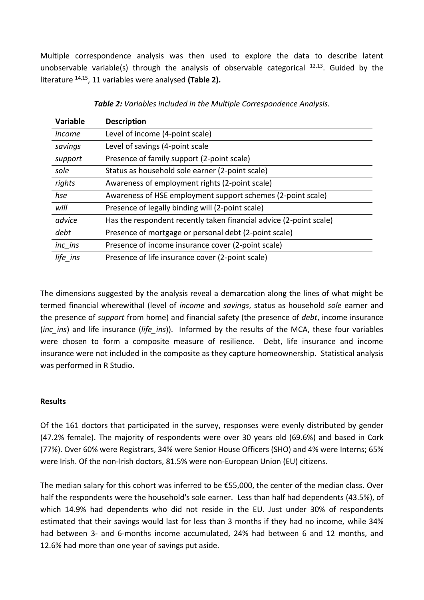Multiple correspondence analysis was then used to explore the data to describe latent unobservable variable(s) through the analysis of observable categorical  $12,13$ . Guided by the literature 14,15, 11 variables were analysed **(Table 2).**

| <b>Description</b>                                                 |
|--------------------------------------------------------------------|
| Level of income (4-point scale)                                    |
| Level of savings (4-point scale                                    |
| Presence of family support (2-point scale)                         |
| Status as household sole earner (2-point scale)                    |
| Awareness of employment rights (2-point scale)                     |
| Awareness of HSE employment support schemes (2-point scale)        |
| Presence of legally binding will (2-point scale)                   |
| Has the respondent recently taken financial advice (2-point scale) |
| Presence of mortgage or personal debt (2-point scale)              |
| Presence of income insurance cover (2-point scale)                 |
| Presence of life insurance cover (2-point scale)                   |
|                                                                    |

*Table 2: Variables included in the Multiple Correspondence Analysis.*

The dimensions suggested by the analysis reveal a demarcation along the lines of what might be termed financial wherewithal (level of *income* and *savings*, status as household *sole* earner and the presence of *support* from home) and financial safety (the presence of *debt*, income insurance (*inc\_ins*) and life insurance (*life\_ins*)). Informed by the results of the MCA, these four variables were chosen to form a composite measure of resilience. Debt, life insurance and income insurance were not included in the composite as they capture homeownership. Statistical analysis was performed in R Studio.

### **Results**

Of the 161 doctors that participated in the survey, responses were evenly distributed by gender (47.2% female). The majority of respondents were over 30 years old (69.6%) and based in Cork (77%). Over 60% were Registrars, 34% were Senior House Officers (SHO) and 4% were Interns; 65% were Irish. Of the non-Irish doctors, 81.5% were non-European Union (EU) citizens.

The median salary for this cohort was inferred to be €55,000, the center of the median class. Over half the respondents were the household's sole earner. Less than half had dependents (43.5%), of which 14.9% had dependents who did not reside in the EU. Just under 30% of respondents estimated that their savings would last for less than 3 months if they had no income, while 34% had between 3- and 6-months income accumulated, 24% had between 6 and 12 months, and 12.6% had more than one year of savings put aside.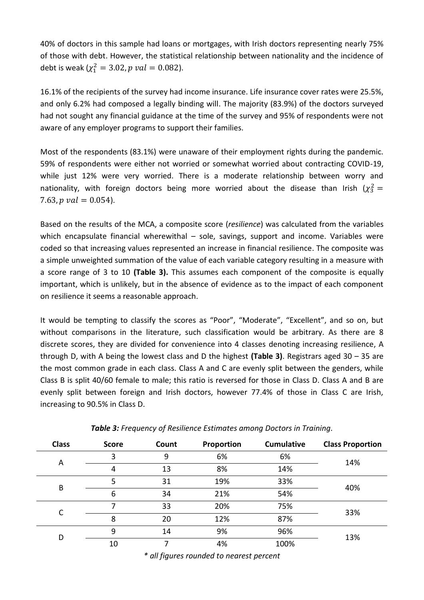40% of doctors in this sample had loans or mortgages, with Irish doctors representing nearly 75% of those with debt. However, the statistical relationship between nationality and the incidence of debt is weak ( $\chi_1^2 = 3.02$ ,  $p \ val = 0.082$ ).

16.1% of the recipients of the survey had income insurance. Life insurance cover rates were 25.5%, and only 6.2% had composed a legally binding will. The majority (83.9%) of the doctors surveyed had not sought any financial guidance at the time of the survey and 95% of respondents were not aware of any employer programs to support their families.

Most of the respondents (83.1%) were unaware of their employment rights during the pandemic. 59% of respondents were either not worried or somewhat worried about contracting COVID-19, while just 12% were very worried. There is a moderate relationship between worry and nationality, with foreign doctors being more worried about the disease than Irish  $(\chi^2_3 =$ 7.63,  $p$   $val = 0.054$ ).

Based on the results of the MCA, a composite score (*resilience*) was calculated from the variables which encapsulate financial wherewithal  $-$  sole, savings, support and income. Variables were coded so that increasing values represented an increase in financial resilience. The composite was a simple unweighted summation of the value of each variable category resulting in a measure with a score range of 3 to 10 **(Table 3).** This assumes each component of the composite is equally important, which is unlikely, but in the absence of evidence as to the impact of each component on resilience it seems a reasonable approach.

It would be tempting to classify the scores as "Poor", "Moderate", "Excellent", and so on, but without comparisons in the literature, such classification would be arbitrary. As there are 8 discrete scores, they are divided for convenience into 4 classes denoting increasing resilience, A through D, with A being the lowest class and D the highest **(Table 3)**. Registrars aged 30 – 35 are the most common grade in each class. Class A and C are evenly split between the genders, while Class B is split 40/60 female to male; this ratio is reversed for those in Class D. Class A and B are evenly split between foreign and Irish doctors, however 77.4% of those in Class C are Irish, increasing to 90.5% in Class D.

| <b>Class</b> | <b>Score</b> | Count | Proportion | <b>Cumulative</b> | <b>Class Proportion</b> |  |
|--------------|--------------|-------|------------|-------------------|-------------------------|--|
| A            | 3            | 9     | 6%         | 6%                | 14%                     |  |
|              | 4            | 13    | 8%         | 14%               |                         |  |
| B            | 5            | 31    | 19%        | 33%               | 40%                     |  |
|              | 6            | 34    | 21%        | 54%               |                         |  |
|              | 7            | 33    | 20%        | 75%               |                         |  |
|              | 8            | 20    | 12%        | 87%               | 33%                     |  |
| D            | 9            | 14    | 9%         | 96%               |                         |  |
|              | 10           |       | 4%         | 100%              | 13%                     |  |

| Table 3: Frequency of Resilience Estimates among Doctors in Training. |  |  |  |
|-----------------------------------------------------------------------|--|--|--|
|-----------------------------------------------------------------------|--|--|--|

*\* all figures rounded to nearest percent*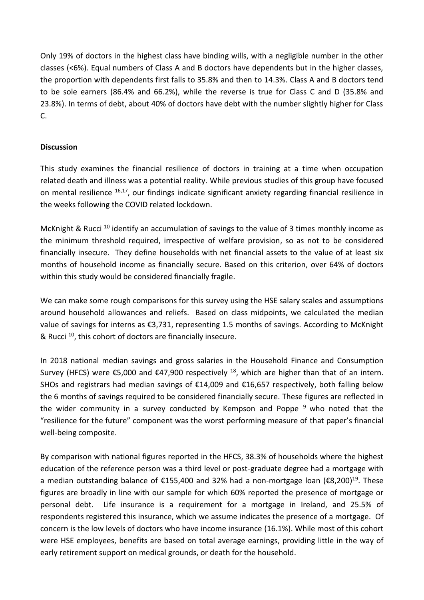Only 19% of doctors in the highest class have binding wills, with a negligible number in the other classes (<6%). Equal numbers of Class A and B doctors have dependents but in the higher classes, the proportion with dependents first falls to 35.8% and then to 14.3%. Class A and B doctors tend to be sole earners (86.4% and 66.2%), while the reverse is true for Class C and D (35.8% and 23.8%). In terms of debt, about 40% of doctors have debt with the number slightly higher for Class C.

## **Discussion**

This study examines the financial resilience of doctors in training at a time when occupation related death and illness was a potential reality. While previous studies of this group have focused on mental resilience <sup>16,17</sup>, our findings indicate significant anxiety regarding financial resilience in the weeks following the COVID related lockdown.

McKnight & Rucci<sup>10</sup> identify an accumulation of savings to the value of 3 times monthly income as the minimum threshold required, irrespective of welfare provision, so as not to be considered financially insecure. They define households with net financial assets to the value of at least six months of household income as financially secure. Based on this criterion, over 64% of doctors within this study would be considered financially fragile.

We can make some rough comparisons for this survey using the HSE salary scales and assumptions around household allowances and reliefs. Based on class midpoints, we calculated the median value of savings for interns as €3,731, representing 1.5 months of savings. According to McKnight & Rucci<sup>10</sup>, this cohort of doctors are financially insecure.

In 2018 national median savings and gross salaries in the Household Finance and Consumption Survey (HFCS) were €5,000 and €47,900 respectively <sup>18</sup>, which are higher than that of an intern. SHOs and registrars had median savings of €14,009 and €16,657 respectively, both falling below the 6 months of savings required to be considered financially secure. These figures are reflected in the wider community in a survey conducted by Kempson and Poppe  $9$  who noted that the "resilience for the future" component was the worst performing measure of that paper's financial well-being composite.

By comparison with national figures reported in the HFCS, 38.3% of households where the highest education of the reference person was a third level or post-graduate degree had a mortgage with a median outstanding balance of €155,400 and 32% had a non-mortgage loan (€8,200)<sup>19</sup>. These figures are broadly in line with our sample for which 60% reported the presence of mortgage or personal debt. Life insurance is a requirement for a mortgage in Ireland, and 25.5% of respondents registered this insurance, which we assume indicates the presence of a mortgage. Of concern is the low levels of doctors who have income insurance (16.1%). While most of this cohort were HSE employees, benefits are based on total average earnings, providing little in the way of early retirement support on medical grounds, or death for the household.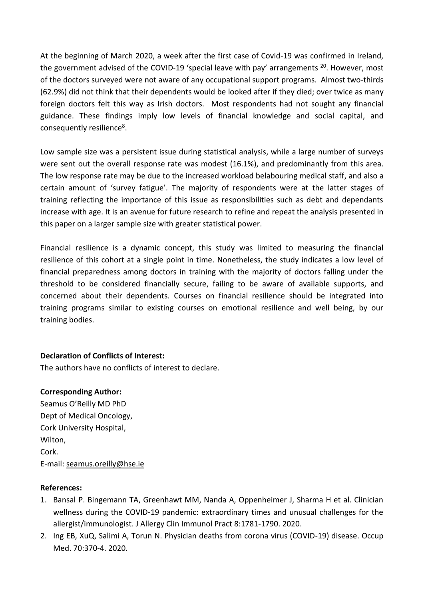At the beginning of March 2020, a week after the first case of Covid-19 was confirmed in Ireland, the government advised of the COVID-19 'special leave with pay' arrangements <sup>20</sup>. However, most of the doctors surveyed were not aware of any occupational support programs. Almost two-thirds (62.9%) did not think that their dependents would be looked after if they died; over twice as many foreign doctors felt this way as Irish doctors. Most respondents had not sought any financial guidance. These findings imply low levels of financial knowledge and social capital, and consequently resilience<sup>8</sup>.

Low sample size was a persistent issue during statistical analysis, while a large number of surveys were sent out the overall response rate was modest (16.1%), and predominantly from this area. The low response rate may be due to the increased workload belabouring medical staff, and also a certain amount of 'survey fatigue'. The majority of respondents were at the latter stages of training reflecting the importance of this issue as responsibilities such as debt and dependants increase with age. It is an avenue for future research to refine and repeat the analysis presented in this paper on a larger sample size with greater statistical power.

Financial resilience is a dynamic concept, this study was limited to measuring the financial resilience of this cohort at a single point in time. Nonetheless, the study indicates a low level of financial preparedness among doctors in training with the majority of doctors falling under the threshold to be considered financially secure, failing to be aware of available supports, and concerned about their dependents. Courses on financial resilience should be integrated into training programs similar to existing courses on emotional resilience and well being, by our training bodies.

### **Declaration of Conflicts of Interest:**

The authors have no conflicts of interest to declare.

### **Corresponding Author:**

Seamus O'Reilly MD PhD Dept of Medical Oncology, Cork University Hospital, Wilton, Cork. E-mail: [seamus.oreilly@hse.ie](mailto:seamus.oreilly@hse.ie)

### **References:**

- 1. Bansal P. Bingemann TA, Greenhawt MM, Nanda A, Oppenheimer J, Sharma H et al. Clinician wellness during the COVID-19 pandemic: extraordinary times and unusual challenges for the allergist/immunologist. J Allergy Clin Immunol Pract 8:1781-1790. 2020.
- 2. Ing EB, XuQ, Salimi A, Torun N. Physician deaths from corona virus (COVID-19) disease. Occup Med. 70:370-4. 2020.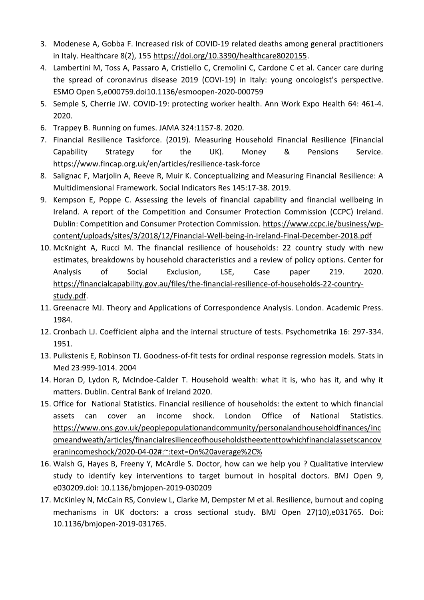- 3. Modenese A, Gobba F. Increased risk of COVID-19 related deaths among general practitioners in Italy. Healthcare 8(2), 155 [https://doi.org/10.3390/healthcare8020155.](https://doi.org/10.3390/healthcare8020155)
- 4. Lambertini M, Toss A, Passaro A, Cristiello C, Cremolini C, Cardone C et al. Cancer care during the spread of coronavirus disease 2019 (COVI-19) in Italy: young oncologist's perspective. ESMO Open 5,e000759.doi10.1136/esmoopen-2020-000759
- 5. Semple S, Cherrie JW. COVID-19: protecting worker health. Ann Work Expo Health 64: 461-4. 2020.
- 6. Trappey B. Running on fumes. JAMA 324:1157-8. 2020.
- 7. Financial Resilience Taskforce. (2019). Measuring Household Financial Resilience (Financial Capability Strategy for the UK). Money & Pensions Service. https://www.fincap.org.uk/en/articles/resilience-task-force
- 8. Salignac F, Marjolin A, Reeve R, Muir K. Conceptualizing and Measuring Financial Resilience: A Multidimensional Framework. Social Indicators Res 145:17-38. 2019.
- 9. Kempson E, Poppe C. Assessing the levels of financial capability and financial wellbeing in Ireland. A report of the Competition and Consumer Protection Commission (CCPC) Ireland. Dublin: Competition and Consumer Protection Commission. [https://www.ccpc.ie/business/wp](https://www.ccpc.ie/business/wp-content/uploads/sites/3/2018/12/Financial-Well-being-in-Ireland-Final-December-2018.pdf)[content/uploads/sites/3/2018/12/Financial-Well-being-in-Ireland-Final-December-2018.pdf](https://www.ccpc.ie/business/wp-content/uploads/sites/3/2018/12/Financial-Well-being-in-Ireland-Final-December-2018.pdf)
- 10. McKnight A, Rucci M. The financial resilience of households: 22 country study with new estimates, breakdowns by household characteristics and a review of policy options. Center for Analysis of Social Exclusion, LSE, Case paper 219. 2020. [https://financialcapability.gov.au/files/the-financial-resilience-of-households-22-country](https://financialcapability.gov.au/files/the-financial-resilience-of-households-22-country-study.pdf)[study.pdf.](https://financialcapability.gov.au/files/the-financial-resilience-of-households-22-country-study.pdf)
- 11. Greenacre MJ. Theory and Applications of Correspondence Analysis. London. Academic Press. 1984.
- 12. Cronbach LJ. Coefficient alpha and the internal structure of tests. Psychometrika 16: 297-334. 1951.
- 13. Pulkstenis E, Robinson TJ. Goodness-of-fit tests for ordinal response regression models. Stats in Med 23:999-1014. 2004
- 14. Horan D, Lydon R, McIndoe-Calder T. Household wealth: what it is, who has it, and why it matters. Dublin. Central Bank of Ireland 2020.
- 15. Office for National Statistics. Financial resilience of households: the extent to which financial assets can cover an income shock. London Office of National Statistics. [https://www.ons.gov.uk/peoplepopulationandcommunity/personalandhouseholdfinances/inc](https://www.ons.gov.uk/peoplepopulationandcommunity/personalandhouseholdfinances/incomeandweath/articles/financialresilienceofhouseholdstheextenttowhichfinancialassetscancoveranincomeshock/2020-04-02#:~:text=On%20average%2C%) [omeandweath/articles/financialresilienceofhouseholdstheextenttowhichfinancialassetscancov](https://www.ons.gov.uk/peoplepopulationandcommunity/personalandhouseholdfinances/incomeandweath/articles/financialresilienceofhouseholdstheextenttowhichfinancialassetscancoveranincomeshock/2020-04-02#:~:text=On%20average%2C%) [eranincomeshock/2020-04-02#:~:text=On%20average%2C%](https://www.ons.gov.uk/peoplepopulationandcommunity/personalandhouseholdfinances/incomeandweath/articles/financialresilienceofhouseholdstheextenttowhichfinancialassetscancoveranincomeshock/2020-04-02#:~:text=On%20average%2C%)
- 16. Walsh G, Hayes B, Freeny Y, McArdle S. Doctor, how can we help you ? Qualitative interview study to identify key interventions to target burnout in hospital doctors. BMJ Open 9, e030209.doi: 10.1136/bmjopen-2019-030209
- 17. McKinley N, McCain RS, Conview L, Clarke M, Dempster M et al. Resilience, burnout and coping mechanisms in UK doctors: a cross sectional study. BMJ Open 27(10),e031765. Doi: 10.1136/bmjopen-2019-031765.